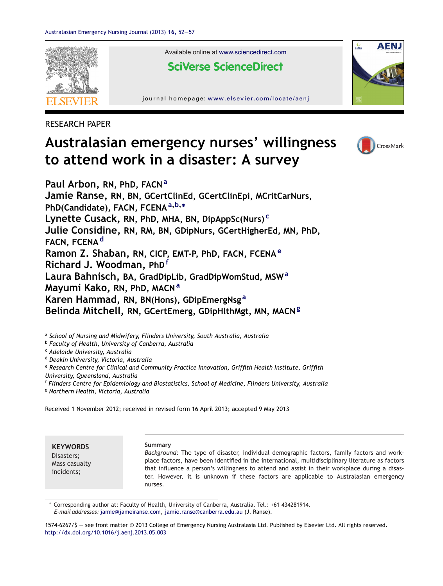

RESEARCH PAPER

# **Australasian emergency nurses' willingness to attend work in a disaster: A survey**



**Paul Arbon, RN, PhD, FACN<sup>a</sup> Jamie Ranse, RN, BN, GCertClinEd, GCertClinEpi, MCritCarNurs, PhD(Candidate), FACN, FCENAa,b,<sup>∗</sup> Lynette Cusack, RN, PhD, MHA, BN, DipAppSc(Nurs) <sup>c</sup> Julie Considine, RN, RM, BN, GDipNurs, GCertHigherEd, MN, PhD, FACN, FCENA<sup>d</sup> Ramon Z. Shaban, RN, CICP, EMT-P, PhD, FACN, FCENA<sup>e</sup> Richard J. Woodman, PhD<sup>f</sup> Laura Bahnisch, BA, GradDipLib, GradDipWomStud, MSW<sup>a</sup> Mayumi Kako, RN, PhD, MACN<sup>a</sup> Karen Hammad, RN, BN(Hons), GDipEmergNsg <sup>a</sup> Belinda Mitchell, RN, GCertEmerg, GDipHlthMgt, MN, MACN<sup>g</sup>**

<sup>a</sup> *School of Nursing and Midwifery, Flinders University, South Australia, Australia*

<sup>b</sup> *Faculty of Health, University of Canberra, Australia*

<sup>c</sup> *Adelaide University, Australia*

<sup>d</sup> *Deakin University, Victoria, Australia*

<sup>e</sup> *Research Centre for Clinical and Community Practice Innovation, Griffith Health Institute, Griffith University, Queensland, Australia*

<sup>f</sup> *Flinders Centre for Epidemiology and Biostatistics, School of Medicine, Flinders University, Australia*

<sup>g</sup> *Northern Health, Victoria, Australia*

Received 1 November 2012; received in revised form 16 April 2013; accepted 9 May 2013

**KEYWORDS** Disasters; Mass casualty incidents;

#### **Summary**

*Background:* The type of disaster, individual demographic factors, family factors and workplace factors, have been identified in the international, multidisciplinary literature as factors that influence a person's willingness to attend and assist in their workplace during a disaster. However, it is unknown if these factors are applicable to Australasian emergency nurses.

<sup>∗</sup> Corresponding author at: Faculty of Health, University of Canberra, Australia. Tel.: +61 434281914. *E-mail addresses:* [jamie@jameiranse.com,](mailto:jamie@jameiranse.com) [jamie.ranse@canberra.edu.au](mailto:jamie.ranse@canberra.edu.au) (J. Ranse).

<sup>1574-6267/\$</sup> — see front matter © 2013 College of Emergency Nursing Australasia Ltd. Published by Elsevier Ltd. All rights reserved. [http://dx.doi.org/10.1016/j.aenj.2013.05.003](dx.doi.org/10.1016/j.aenj.2013.05.003)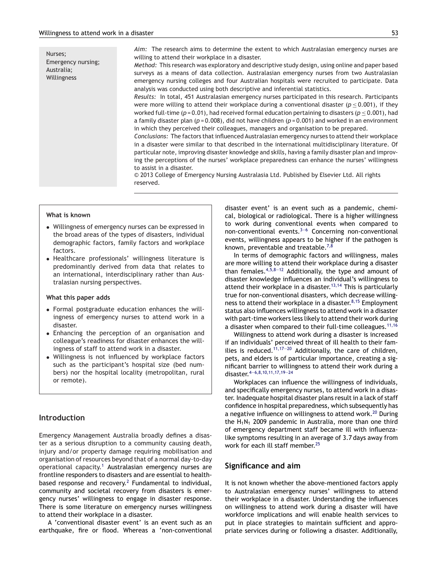Nurses; Emergency nursing; Australia; Willingness

*Aim:* The research aims to determine the extent to which Australasian emergency nurses are willing to attend their workplace in a disaster.

*Method:* This research was exploratory and descriptive study design, using online and paper based surveys as a means of data collection. Australasian emergency nurses from two Australasian emergency nursing colleges and four Australian hospitals were recruited to participate. Data analysis was conducted using both descriptive and inferential statistics.

*Results:* In total, 451 Australasian emergency nurses participated in this research. Participants were more willing to attend their workplace during a conventional disaster ( $p < 0.001$ ), if they worked full-time (*p* = 0.01), had received formal education pertaining to disasters (*p* ≤ 0.001), had a family disaster plan (*p* = 0.008), did not have children (*p* = 0.001) and worked in an environment in which they perceived their colleagues, managers and organisation to be prepared.

*Conclusions:* The factors thatinfluenced Australasian emergency nurses to attend their workplace in a disaster were similar to that described in the international multidisciplinary literature. Of particular note, improving disaster knowledge and skills, having a family disaster plan and improving the perceptions of the nurses' workplace preparedness can enhance the nurses' willingness to assist in a disaster.

© 2013 College of Emergency Nursing Australasia Ltd. Published by Elsevier Ltd. All rights reserved.

#### **What is known**

- Willingness of emergency nurses can be expressed in the broad areas of the types of disasters, individual demographic factors, family factors and workplace factors.
- Healthcare professionals' willingness literature is predominantly derived from data that relates to an international, interdisciplinary rather than Australasian nursing perspectives.

#### **What this paper adds**

- Formal postgraduate education enhances the willingness of emergency nurses to attend work in a disaster.
- Enhancing the perception of an organisation and colleague's readiness for disaster enhances the willingness of staff to attend work in a disaster.
- Willingness is not influenced by workplace factors such as the participant's hospital size (bed numbers) nor the hospital locality (metropolitan, rural or remote).

## **Introduction**

Emergency Management Australia broadly defines a disaster as a serious disruption to a community causing death, injury and/or property damage requiring mobilisation and organisation of resources beyond that of a normal day-to-day operational capacity.[1](#page-4-0) Australasian emergency nurses are frontline responders to disasters and are essential to health-based response and recovery.<sup>[2](#page-4-0)</sup> Fundamental to individual, community and societal recovery from disasters is emergency nurses' willingness to engage in disaster response. There is some literature on emergency nurses willingness to attend their workplace in a disaster.

A 'conventional disaster event' is an event such as an earthquake, fire or flood. Whereas a 'non-conventional disaster event' is an event such as a pandemic, chemical, biological or radiological. There is a higher willingness to work during conventional events when compared to non-conventional events. $3-6$  Concerning non-conventional events, willingness appears to be higher if the pathogen is known, preventable and treatable.<sup>[7,8](#page-4-0)</sup>

In terms of demographic factors and willingness, males are more willing to attend their workplace during a disaster than females. $4,5,8-12$  Additionally, the type and amount of disaster knowledge influences an individual's willingness to attend their workplace in a disaster.<sup>[13,14](#page-5-0)</sup> This is particularly true for non-conventional disasters, which decrease willing-ness to attend their workplace in a disaster.<sup>[8,15](#page-4-0)</sup> Employment status also influences willingness to attend work in a disaster with part-time workers less likely to attend their work during a disaster when compared to their full-time colleagues.<sup>[11,16](#page-5-0)</sup>

Willingness to attend work during a disaster is increased if an individuals' perceived threat of ill health to their families is reduced.<sup>11,17-20</sup> Additionally, the care of children, pets, and elders is of particular importance, creating a significant barrier to willingness to attend their work during a disaster.[4—6,8,10,11,17,19—24](#page-4-0)

Workplaces can influence the willingness of individuals, and specifically emergency nurses, to attend work in a disaster. Inadequate hospital disaster plans result in a lack of staff confidence in hospital preparedness, which subsequently has a negative influence on willingness to attend work.<sup>[20](#page-5-0)</sup> During the  $H_1N_1$  2009 pandemic in Australia, more than one third of emergency department staff became ill with influenzalike symptoms resulting in an average of 3.7 days away from work for each ill staff member.<sup>[25](#page-5-0)</sup>

# **Significance and aim**

It is not known whether the above-mentioned factors apply to Australasian emergency nurses' willingness to attend their workplace in a disaster. Understanding the influences on willingness to attend work during a disaster will have workforce implications and will enable health services to put in place strategies to maintain sufficient and appropriate services during or following a disaster. Additionally,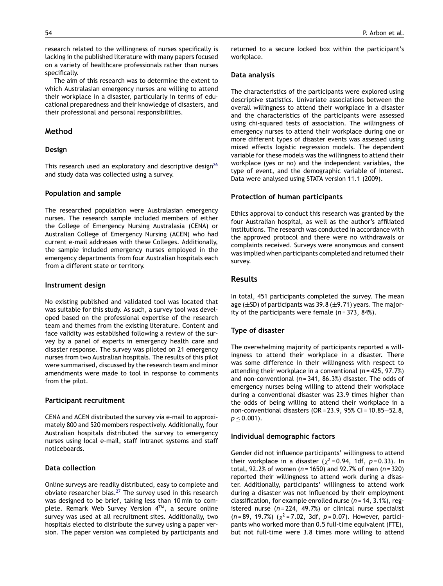research related to the willingness of nurses specifically is lacking in the published literature with many papers focused on a variety of healthcare professionals rather than nurses specifically.

The aim of this research was to determine the extent to which Australasian emergency nurses are willing to attend their workplace in a disaster, particularly in terms of educational preparedness and their knowledge of disasters, and their professional and personal responsibilities.

# **Method**

## **Design**

This research used an exploratory and descriptive design<sup>[26](#page-5-0)</sup> and study data was collected using a survey.

### **Population and sample**

The researched population were Australasian emergency nurses. The research sample included members of either the College of Emergency Nursing Australasia (CENA) or Australian College of Emergency Nursing (ACEN) who had current e-mail addresses with these Colleges. Additionally, the sample included emergency nurses employed in the emergency departments from four Australian hospitals each from a different state or territory.

#### **Instrument design**

No existing published and validated tool was located that was suitable for this study. As such, a survey tool was developed based on the professional expertise of the research team and themes from the existing literature. Content and face validity was established following a review of the survey by a panel of experts in emergency health care and disaster response. The survey was piloted on 21 emergency nurses from two Australian hospitals. The results of this pilot were summarised, discussed by the research team and minor amendments were made to tool in response to comments from the pilot.

#### **Participant recruitment**

CENA and ACEN distributed the survey via e-mail to approximately 800 and 520 members respectively. Additionally, four Australian hospitals distributed the survey to emergency nurses using local e-mail, staff intranet systems and staff noticeboards.

# **Data collection**

Online surveys are readily distributed, easy to complete and obviate researcher bias. $^{27}$  $^{27}$  $^{27}$  The survey used in this research was designed to be brief, taking less than 10 min to complete. Remark Web Survey Version  $4^{TM}$ , a secure online survey was used at all recruitment sites. Additionally, two hospitals elected to distribute the survey using a paper version. The paper version was completed by participants and

returned to a secure locked box within the participant's workplace.

#### **Data analysis**

The characteristics of the participants were explored using descriptive statistics. Univariate associations between the overall willingness to attend their workplace in a disaster and the characteristics of the participants were assessed using chi-squared tests of association. The willingness of emergency nurses to attend their workplace during one or more different types of disaster events was assessed using mixed effects logistic regression models. The dependent variable for these models was the willingness to attend their workplace (yes or no) and the independent variables, the type of event, and the demographic variable of interest. Data were analysed using STATA version 11.1 (2009).

#### **Protection of human participants**

Ethics approval to conduct this research was granted by the four Australian hospital, as well as the author's affiliated institutions. The research was conducted in accordance with the approved protocol and there were no withdrawals or complaints received. Surveys were anonymous and consent was implied when participants completed and returned their survey.

## **Results**

In total, 451 participants completed the survey. The mean age ( $\pm$ SD) of participants was 39.8 ( $\pm$ 9.71) years. The majority of the participants were female (*n* = 373, 84%).

## **Type of disaster**

The overwhelming majority of participants reported a willingness to attend their workplace in a disaster. There was some difference in their willingness with respect to attending their workplace in a conventional (*n* = 425, 97.7%) and non-conventional (*n* = 341, 86.3%) disaster. The odds of emergency nurses being willing to attend their workplace during a conventional disaster was 23.9 times higher than the odds of being willing to attend their workplace in a non-conventional disasters (OR = 23.9, 95% CI = 10.85—52.8, *p* ≤ 0.001).

## **Individual demographic factors**

Gender did not influence participants' willingness to attend their workplace in a disaster ( $\chi^2$  = 0.94, 1df, p = 0.33). In total, 92.2% of women (*n* = 1650) and 92.7% of men (*n* = 320) reported their willingness to attend work during a disaster. Additionally, participants' willingness to attend work during a disaster was not influenced by their employment classification, for example enrolled nurse (*n* = 14, 3.1%), registered nurse (*n* = 224, 49.7%) or clinical nurse specialist  $(n = 89, 19.7%)$  ( $\chi^2 = 7.02$ , 3df,  $p = 0.07$ ). However, participants who worked more than 0.5 full-time equivalent (FTE), but not full-time were 3.8 times more willing to attend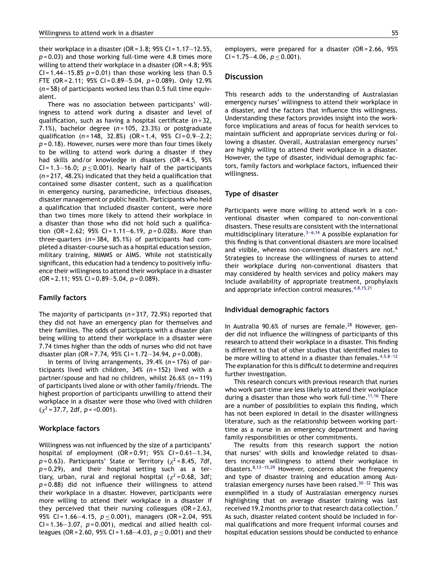their workplace in a disaster (OR =  $3.8$ ; 95% CI =  $1.17 - 12.55$ , *p* = 0.03) and those working full-time were 4.8 times more willing to attend their workplace in a disaster (OR = 4.8; 95%) CI = 1.44—15.85 *p* = 0.01) than those working less than 0.5 FTE (OR = 2.11; 95% CI = 0.89—5.04, *p* = 0.089). Only 12.9% (*n* = 58) of participants worked less than 0.5 full time equivalent.

There was no association between participants' willingness to attend work during a disaster and level of qualification, such as having a hospital certificate (*n* = 32, 7.1%), bachelor degree (*n* = 105, 23.3%) or postgraduate qualification (*n* = 148, 32.8%) (OR = 1.4, 95% CI = 0.9—2.2; *p* = 0.18). However, nurses were more than four times likely to be willing to attend work during a disaster if they had skills and/or knowledge in disasters (OR = 4.5, 95% CI = 1.3–16.0;  $p \le 0.001$ ). Nearly half of the participants (*n* = 217, 48.2%) indicated that they held a qualification that contained some disaster content, such as a qualification in emergency nursing, paramedicine, infectious diseases, disaster management or public health. Participants who held a qualification that included disaster content, were more than two times more likely to attend their workplace in a disaster than those who did not hold such a qualification (OR = 2.62; 95% CI = 1.11—6.19, *p* = 0.028). More than three-quarters (*n* = 384, 85.1%) of participants had completed a disaster-course such as a hospital education session, military training, MIMMS or AIMS. While not statistically significant, this education had a tendency to positively influence their willingness to attend their workplace in a disaster (OR = 2.11; 95% CI = 0.89—5.04, *p* = 0.089).

### **Family factors**

The majority of participants (*n* = 317, 72.9%) reported that they did not have an emergency plan for themselves and their families. The odds of participants with a disaster plan being willing to attend their workplace in a disaster were 7.74 times higher than the odds of nurses who did not have disaster plan (OR = 7.74, 95% CI = 1.72—34.94, *p* = 0.008).

In terms of living arrangements, 39.4% (*n* = 176) of participants lived with children, 34% (*n* = 152) lived with a partner/spouse and had no children, whilst 26.6% (*n* = 119) of participants lived alone or with other family/friends. The highest proportion of participants unwilling to attend their workplace in a disaster were those who lived with children  $(\chi^2 = 37.7, 2df, p = 0.001).$ 

## **Workplace factors**

Willingness was not influenced by the size of a participants' hospital of employment  $(OR = 0.91; 95\% CI = 0.61 - 1.34,$  $p = 0.63$ ). Participants' State or Territory ( $\chi^2 = 8.45$ , 7df, *p* = 0.29), and their hospital setting such as a tertiary, urban, rural and regional hospital ( $\chi^2$ =0.68, 3df; *p* = 0.88) did not influence their willingness to attend their workplace in a disaster. However, participants were more willing to attend their workplace in a disaster if they perceived that their nursing colleagues (OR = 2.63, 95% CI = 1.66—4.15, *p* ≤ 0.001), managers (OR = 2.04, 95%  $Cl = 1.36 - 3.07$ ,  $p = 0.001$ ), medical and allied health colleagues (OR = 2.60, 95% CI = 1.68–4.03,  $p \le 0.001$ ) and their employers, were prepared for a disaster (OR = 2.66, 95% CI = 1.75–4.06,  $p \le 0.001$ ).

#### **Discussion**

This research adds to the understanding of Australasian emergency nurses' willingness to attend their workplace in a disaster, and the factors that influence this willingness. Understanding these factors provides insight into the workforce implications and areas of focus for health services to maintain sufficient and appropriate services during or following a disaster. Overall, Australasian emergency nurses' are highly willing to attend their workplace in a disaster. However, the type of disaster, individual demographic factors, family factors and workplace factors, influenced their willingness.

### **Type of disaster**

Participants were more willing to attend work in a conventional disaster when compared to non-conventional disasters. These results are consistent with the international multidisciplinary literature. $3-6,14$  A possible explanation for this finding is that conventional disasters are more localised and visible, whereas non-conventional disasters are not.<sup>[6](#page-4-0)</sup> Strategies to increase the willingness of nurses to attend their workplace during non-conventional disasters that may considered by health services and policy makers may include availability of appropriate treatment, prophylaxis and appropriate infection control measures.  $4,8,15,21$ 

#### **Individual demographic factors**

In Australia 90.6% of nurses are female.<sup>[28](#page-5-0)</sup> However, gender did not influence the willingness of participants of this research to attend their workplace in a disaster. This finding is different to that of other studies that identified males to be more willing to attend in a disaster than females.  $4,5,8-12$ The explanation for this is difficult to determine and requires further investigation.

This research concurs with previous research that nurses who work part-time are less likely to attend their workplace during a disaster than those who work full-time.<sup>[11,16](#page-5-0)</sup> There are a number of possibilities to explain this finding, which has not been explored in detail in the disaster willingness literature, such as the relationship between working parttime as a nurse in an emergency department and having family responsibilities or other commitments.

The results from this research support the notion that nurses' with skills and knowledge related to disasters increase willingness to attend their workplace in disasters. $8,13-15,29$  However, concerns about the frequency and type of disaster training and education among Australasian emergency nurses have been raised.<sup>30–32</sup> This was exemplified in a study of Australasian emergency nurses highlighting that on average disaster training was last received 19.2 months prior to that research data collection.<sup>[7](#page-4-0)</sup> As such, disaster related content should be included in formal qualifications and more frequent informal courses and hospital education sessions should be conducted to enhance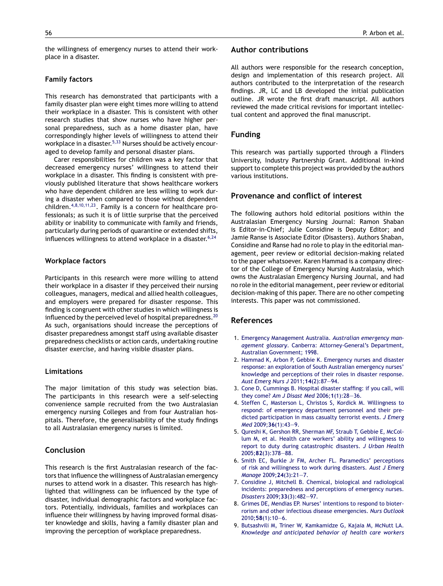<span id="page-4-0"></span>the willingness of emergency nurses to attend their workplace in a disaster.

# **Family factors**

This research has demonstrated that participants with a family disaster plan were eight times more willing to attend their workplace in a disaster. This is consistent with other research studies that show nurses who have higher personal preparedness, such as a home disaster plan, have correspondingly higher levels of willingness to attend their workplace in a disaster.<sup>5,33</sup> Nurses should be actively encouraged to develop family and personal disaster plans.

Carer responsibilities for children was a key factor that decreased emergency nurses' willingness to attend their workplace in a disaster. This finding is consistent with previously published literature that shows healthcare workers who have dependent children are less willing to work during a disaster when compared to those without dependent children.<sup>4,8,10,11,23</sup>. Family is a concern for healthcare professionals; as such it is of little surprise that the perceived ability or inability to communicate with family and friends, particularly during periods of quarantine or extended shifts, influences willingness to attend workplace in a disaster.<sup>6,24</sup>

## **Workplace factors**

Participants in this research were more willing to attend their workplace in a disaster if they perceived their nursing colleagues, managers, medical and allied health colleagues, and employers were prepared for disaster response. This finding is congruent with other studies in which willingness is influenced by the perceived level of hospital preparedness.<sup>[20](#page-5-0)</sup> As such, organisations should increase the perceptions of disaster preparedness amongst staff using available disaster preparedness checklists or action cards, undertaking routine disaster exercise, and having visible disaster plans.

# **Limitations**

The major limitation of this study was selection bias. The participants in this research were a self-selecting convenience sample recruited from the two Australasian emergency nursing Colleges and from four Australian hospitals. Therefore, the generalisability of the study findings to all Australasian emergency nurses is limited.

# **Conclusion**

This research is the first Australasian research of the factors that influence the willingness of Australasian emergency nurses to attend work in a disaster. This research has highlighted that willingness can be influenced by the type of disaster, individual demographic factors and workplace factors. Potentially, individuals, families and workplaces can influence their willingness by having improved formal disaster knowledge and skills, having a family disaster plan and improving the perception of workplace preparedness.

## **Author contributions**

All authors were responsible for the research conception, design and implementation of this research project. All authors contributed to the interpretation of the research findings. JR, LC and LB developed the initial publication outline. JR wrote the first draft manuscript. All authors reviewed the made critical revisions for important intellectual content and approved the final manuscript.

# **Funding**

This research was partially supported through a Flinders University, Industry Partnership Grant. Additional in-kind support to complete this project was provided by the authors various institutions.

# **Provenance and conflict of interest**

The following authors hold editorial positions within the Australasian Emergency Nursing Journal: Ramon Shaban is Editor-in-Chief; Julie Considine is Deputy Editor; and Jamie Ranse is Associate Editor (Disasters). Authors Shaban, Considine and Ranse had no role to play in the editorial management, peer review or editorial decision-making related to the paper whatsoever. Karen Hammad is a company director of the College of Emergency Nursing Australasia, which owns the Australasian Emergency Nursing Journal, and had no role in the editorial management, peer review or editorial decision-making of this paper. There are no other competing interests. This paper was not commissioned.

# **References**

- 1. [Emergency](http://refhub.elsevier.com/S1574-6267(13)00035-9/sbref0005) [Management](http://refhub.elsevier.com/S1574-6267(13)00035-9/sbref0005) [Australia.](http://refhub.elsevier.com/S1574-6267(13)00035-9/sbref0005) *[Australian](http://refhub.elsevier.com/S1574-6267(13)00035-9/sbref0005) [emergency](http://refhub.elsevier.com/S1574-6267(13)00035-9/sbref0005) [man](http://refhub.elsevier.com/S1574-6267(13)00035-9/sbref0005)[agement](http://refhub.elsevier.com/S1574-6267(13)00035-9/sbref0005) [glossary](http://refhub.elsevier.com/S1574-6267(13)00035-9/sbref0005)*[.](http://refhub.elsevier.com/S1574-6267(13)00035-9/sbref0005) [Canberra:](http://refhub.elsevier.com/S1574-6267(13)00035-9/sbref0005) [Attorney-General's](http://refhub.elsevier.com/S1574-6267(13)00035-9/sbref0005) [Department,](http://refhub.elsevier.com/S1574-6267(13)00035-9/sbref0005) [Australian](http://refhub.elsevier.com/S1574-6267(13)00035-9/sbref0005) [Government;](http://refhub.elsevier.com/S1574-6267(13)00035-9/sbref0005) [1998.](http://refhub.elsevier.com/S1574-6267(13)00035-9/sbref0005)
- 2. [Hammad](http://refhub.elsevier.com/S1574-6267(13)00035-9/sbref0010) [K,](http://refhub.elsevier.com/S1574-6267(13)00035-9/sbref0010) [Arbon](http://refhub.elsevier.com/S1574-6267(13)00035-9/sbref0010) [P,](http://refhub.elsevier.com/S1574-6267(13)00035-9/sbref0010) [Gebbie](http://refhub.elsevier.com/S1574-6267(13)00035-9/sbref0010) [K.](http://refhub.elsevier.com/S1574-6267(13)00035-9/sbref0010) [Emergency](http://refhub.elsevier.com/S1574-6267(13)00035-9/sbref0010) [nurses](http://refhub.elsevier.com/S1574-6267(13)00035-9/sbref0010) [and](http://refhub.elsevier.com/S1574-6267(13)00035-9/sbref0010) [disaster](http://refhub.elsevier.com/S1574-6267(13)00035-9/sbref0010) [response:](http://refhub.elsevier.com/S1574-6267(13)00035-9/sbref0010) [an](http://refhub.elsevier.com/S1574-6267(13)00035-9/sbref0010) [exploration](http://refhub.elsevier.com/S1574-6267(13)00035-9/sbref0010) [of](http://refhub.elsevier.com/S1574-6267(13)00035-9/sbref0010) [South](http://refhub.elsevier.com/S1574-6267(13)00035-9/sbref0010) [Australian](http://refhub.elsevier.com/S1574-6267(13)00035-9/sbref0010) [emergency](http://refhub.elsevier.com/S1574-6267(13)00035-9/sbref0010) [nurses'](http://refhub.elsevier.com/S1574-6267(13)00035-9/sbref0010) [knowledge](http://refhub.elsevier.com/S1574-6267(13)00035-9/sbref0010) [and](http://refhub.elsevier.com/S1574-6267(13)00035-9/sbref0010) [perceptions](http://refhub.elsevier.com/S1574-6267(13)00035-9/sbref0010) [of](http://refhub.elsevier.com/S1574-6267(13)00035-9/sbref0010) [their](http://refhub.elsevier.com/S1574-6267(13)00035-9/sbref0010) [roles](http://refhub.elsevier.com/S1574-6267(13)00035-9/sbref0010) [in](http://refhub.elsevier.com/S1574-6267(13)00035-9/sbref0010) [disaster](http://refhub.elsevier.com/S1574-6267(13)00035-9/sbref0010) [response.](http://refhub.elsevier.com/S1574-6267(13)00035-9/sbref0010) *[Aust](http://refhub.elsevier.com/S1574-6267(13)00035-9/sbref0010) [Emerg](http://refhub.elsevier.com/S1574-6267(13)00035-9/sbref0010) [Nurs](http://refhub.elsevier.com/S1574-6267(13)00035-9/sbref0010) [J](http://refhub.elsevier.com/S1574-6267(13)00035-9/sbref0010)* [2011;](http://refhub.elsevier.com/S1574-6267(13)00035-9/sbref0010)**[14](http://refhub.elsevier.com/S1574-6267(13)00035-9/sbref0010)**[\(2\):87](http://refhub.elsevier.com/S1574-6267(13)00035-9/sbref0010)—[94.](http://refhub.elsevier.com/S1574-6267(13)00035-9/sbref0010)
- 3. [Cone](http://refhub.elsevier.com/S1574-6267(13)00035-9/sbref0015) [D,](http://refhub.elsevier.com/S1574-6267(13)00035-9/sbref0015) [Cummings](http://refhub.elsevier.com/S1574-6267(13)00035-9/sbref0015) [B.](http://refhub.elsevier.com/S1574-6267(13)00035-9/sbref0015) [Hospital](http://refhub.elsevier.com/S1574-6267(13)00035-9/sbref0015) [disaster](http://refhub.elsevier.com/S1574-6267(13)00035-9/sbref0015) [staffing:](http://refhub.elsevier.com/S1574-6267(13)00035-9/sbref0015) [if](http://refhub.elsevier.com/S1574-6267(13)00035-9/sbref0015) [you](http://refhub.elsevier.com/S1574-6267(13)00035-9/sbref0015) [call,](http://refhub.elsevier.com/S1574-6267(13)00035-9/sbref0015) [will](http://refhub.elsevier.com/S1574-6267(13)00035-9/sbref0015) [they](http://refhub.elsevier.com/S1574-6267(13)00035-9/sbref0015) [come?](http://refhub.elsevier.com/S1574-6267(13)00035-9/sbref0015) *[Am](http://refhub.elsevier.com/S1574-6267(13)00035-9/sbref0015) [J](http://refhub.elsevier.com/S1574-6267(13)00035-9/sbref0015) [Disast](http://refhub.elsevier.com/S1574-6267(13)00035-9/sbref0015) [Med](http://refhub.elsevier.com/S1574-6267(13)00035-9/sbref0015)* [2006;](http://refhub.elsevier.com/S1574-6267(13)00035-9/sbref0015)**[1](http://refhub.elsevier.com/S1574-6267(13)00035-9/sbref0015)**[\(1\):28](http://refhub.elsevier.com/S1574-6267(13)00035-9/sbref0015)—[36.](http://refhub.elsevier.com/S1574-6267(13)00035-9/sbref0015)
- 4. [Steffen](http://refhub.elsevier.com/S1574-6267(13)00035-9/sbref0020) [C,](http://refhub.elsevier.com/S1574-6267(13)00035-9/sbref0020) [Masterson](http://refhub.elsevier.com/S1574-6267(13)00035-9/sbref0020) [L,](http://refhub.elsevier.com/S1574-6267(13)00035-9/sbref0020) [Christos](http://refhub.elsevier.com/S1574-6267(13)00035-9/sbref0020) [S,](http://refhub.elsevier.com/S1574-6267(13)00035-9/sbref0020) [Kordick](http://refhub.elsevier.com/S1574-6267(13)00035-9/sbref0020) [M.](http://refhub.elsevier.com/S1574-6267(13)00035-9/sbref0020) [Willingness](http://refhub.elsevier.com/S1574-6267(13)00035-9/sbref0020) [to](http://refhub.elsevier.com/S1574-6267(13)00035-9/sbref0020) [respond:](http://refhub.elsevier.com/S1574-6267(13)00035-9/sbref0020) [of](http://refhub.elsevier.com/S1574-6267(13)00035-9/sbref0020) [emergency](http://refhub.elsevier.com/S1574-6267(13)00035-9/sbref0020) [department](http://refhub.elsevier.com/S1574-6267(13)00035-9/sbref0020) [personnel](http://refhub.elsevier.com/S1574-6267(13)00035-9/sbref0020) [and](http://refhub.elsevier.com/S1574-6267(13)00035-9/sbref0020) [their](http://refhub.elsevier.com/S1574-6267(13)00035-9/sbref0020) [pre](http://refhub.elsevier.com/S1574-6267(13)00035-9/sbref0020)[dicted](http://refhub.elsevier.com/S1574-6267(13)00035-9/sbref0020) [participation](http://refhub.elsevier.com/S1574-6267(13)00035-9/sbref0020) [in](http://refhub.elsevier.com/S1574-6267(13)00035-9/sbref0020) [mass](http://refhub.elsevier.com/S1574-6267(13)00035-9/sbref0020) [casualty](http://refhub.elsevier.com/S1574-6267(13)00035-9/sbref0020) [terrorist](http://refhub.elsevier.com/S1574-6267(13)00035-9/sbref0020) [events.](http://refhub.elsevier.com/S1574-6267(13)00035-9/sbref0020) *[J](http://refhub.elsevier.com/S1574-6267(13)00035-9/sbref0020) [Emerg](http://refhub.elsevier.com/S1574-6267(13)00035-9/sbref0020) [Med](http://refhub.elsevier.com/S1574-6267(13)00035-9/sbref0020)* [2009;](http://refhub.elsevier.com/S1574-6267(13)00035-9/sbref0020)**[36](http://refhub.elsevier.com/S1574-6267(13)00035-9/sbref0020)**[\(1\):43](http://refhub.elsevier.com/S1574-6267(13)00035-9/sbref0020)—[9.](http://refhub.elsevier.com/S1574-6267(13)00035-9/sbref0020)
- 5. [Qureshi](http://refhub.elsevier.com/S1574-6267(13)00035-9/sbref0025) [K,](http://refhub.elsevier.com/S1574-6267(13)00035-9/sbref0025) [Gershon](http://refhub.elsevier.com/S1574-6267(13)00035-9/sbref0025) [RR,](http://refhub.elsevier.com/S1574-6267(13)00035-9/sbref0025) [Sherman](http://refhub.elsevier.com/S1574-6267(13)00035-9/sbref0025) [MF,](http://refhub.elsevier.com/S1574-6267(13)00035-9/sbref0025) [Straub](http://refhub.elsevier.com/S1574-6267(13)00035-9/sbref0025) [T,](http://refhub.elsevier.com/S1574-6267(13)00035-9/sbref0025) [Gebbie](http://refhub.elsevier.com/S1574-6267(13)00035-9/sbref0025) [E,](http://refhub.elsevier.com/S1574-6267(13)00035-9/sbref0025) [McCol](http://refhub.elsevier.com/S1574-6267(13)00035-9/sbref0025)[lum](http://refhub.elsevier.com/S1574-6267(13)00035-9/sbref0025) [M,](http://refhub.elsevier.com/S1574-6267(13)00035-9/sbref0025) [et](http://refhub.elsevier.com/S1574-6267(13)00035-9/sbref0025) [al.](http://refhub.elsevier.com/S1574-6267(13)00035-9/sbref0025) [Health](http://refhub.elsevier.com/S1574-6267(13)00035-9/sbref0025) [care](http://refhub.elsevier.com/S1574-6267(13)00035-9/sbref0025) [workers'](http://refhub.elsevier.com/S1574-6267(13)00035-9/sbref0025) [ability](http://refhub.elsevier.com/S1574-6267(13)00035-9/sbref0025) [and](http://refhub.elsevier.com/S1574-6267(13)00035-9/sbref0025) [willingness](http://refhub.elsevier.com/S1574-6267(13)00035-9/sbref0025) [to](http://refhub.elsevier.com/S1574-6267(13)00035-9/sbref0025) [report](http://refhub.elsevier.com/S1574-6267(13)00035-9/sbref0025) [to](http://refhub.elsevier.com/S1574-6267(13)00035-9/sbref0025) [duty](http://refhub.elsevier.com/S1574-6267(13)00035-9/sbref0025) [during](http://refhub.elsevier.com/S1574-6267(13)00035-9/sbref0025) [catastrophic](http://refhub.elsevier.com/S1574-6267(13)00035-9/sbref0025) [disasters.](http://refhub.elsevier.com/S1574-6267(13)00035-9/sbref0025) *[J](http://refhub.elsevier.com/S1574-6267(13)00035-9/sbref0025) [Urban](http://refhub.elsevier.com/S1574-6267(13)00035-9/sbref0025) [Health](http://refhub.elsevier.com/S1574-6267(13)00035-9/sbref0025)* [2005;](http://refhub.elsevier.com/S1574-6267(13)00035-9/sbref0025)**[82](http://refhub.elsevier.com/S1574-6267(13)00035-9/sbref0025)**[\(3\):378—88.](http://refhub.elsevier.com/S1574-6267(13)00035-9/sbref0025)
- 6. [Smith](http://refhub.elsevier.com/S1574-6267(13)00035-9/sbref0030) [EC,](http://refhub.elsevier.com/S1574-6267(13)00035-9/sbref0030) [Burkle](http://refhub.elsevier.com/S1574-6267(13)00035-9/sbref0030) [Jr](http://refhub.elsevier.com/S1574-6267(13)00035-9/sbref0030) [FM,](http://refhub.elsevier.com/S1574-6267(13)00035-9/sbref0030) [Archer](http://refhub.elsevier.com/S1574-6267(13)00035-9/sbref0030) [FL.](http://refhub.elsevier.com/S1574-6267(13)00035-9/sbref0030) [Paramedics'](http://refhub.elsevier.com/S1574-6267(13)00035-9/sbref0030) [perceptions](http://refhub.elsevier.com/S1574-6267(13)00035-9/sbref0030) [of](http://refhub.elsevier.com/S1574-6267(13)00035-9/sbref0030) [risk](http://refhub.elsevier.com/S1574-6267(13)00035-9/sbref0030) [and](http://refhub.elsevier.com/S1574-6267(13)00035-9/sbref0030) [willingness](http://refhub.elsevier.com/S1574-6267(13)00035-9/sbref0030) [to](http://refhub.elsevier.com/S1574-6267(13)00035-9/sbref0030) [work](http://refhub.elsevier.com/S1574-6267(13)00035-9/sbref0030) [during](http://refhub.elsevier.com/S1574-6267(13)00035-9/sbref0030) [disasters.](http://refhub.elsevier.com/S1574-6267(13)00035-9/sbref0030) *[Aust](http://refhub.elsevier.com/S1574-6267(13)00035-9/sbref0030) [J](http://refhub.elsevier.com/S1574-6267(13)00035-9/sbref0030) [Emerg](http://refhub.elsevier.com/S1574-6267(13)00035-9/sbref0030) [Manage](http://refhub.elsevier.com/S1574-6267(13)00035-9/sbref0030)* [2009;](http://refhub.elsevier.com/S1574-6267(13)00035-9/sbref0030)**[24](http://refhub.elsevier.com/S1574-6267(13)00035-9/sbref0030)**[\(3\):21—7.](http://refhub.elsevier.com/S1574-6267(13)00035-9/sbref0030)
- 7. [Considine](http://refhub.elsevier.com/S1574-6267(13)00035-9/sbref0035) [J,](http://refhub.elsevier.com/S1574-6267(13)00035-9/sbref0035) [Mitchell](http://refhub.elsevier.com/S1574-6267(13)00035-9/sbref0035) [B.](http://refhub.elsevier.com/S1574-6267(13)00035-9/sbref0035) [Chemical,](http://refhub.elsevier.com/S1574-6267(13)00035-9/sbref0035) [biological](http://refhub.elsevier.com/S1574-6267(13)00035-9/sbref0035) [and](http://refhub.elsevier.com/S1574-6267(13)00035-9/sbref0035) [radiological](http://refhub.elsevier.com/S1574-6267(13)00035-9/sbref0035) [incidents:](http://refhub.elsevier.com/S1574-6267(13)00035-9/sbref0035) [preparedness](http://refhub.elsevier.com/S1574-6267(13)00035-9/sbref0035) [and](http://refhub.elsevier.com/S1574-6267(13)00035-9/sbref0035) [perceptions](http://refhub.elsevier.com/S1574-6267(13)00035-9/sbref0035) [of](http://refhub.elsevier.com/S1574-6267(13)00035-9/sbref0035) [emergency](http://refhub.elsevier.com/S1574-6267(13)00035-9/sbref0035) [nurses.](http://refhub.elsevier.com/S1574-6267(13)00035-9/sbref0035) *[Disasters](http://refhub.elsevier.com/S1574-6267(13)00035-9/sbref0035)* [2009;](http://refhub.elsevier.com/S1574-6267(13)00035-9/sbref0035)**[33](http://refhub.elsevier.com/S1574-6267(13)00035-9/sbref0035)**[\(3\):482—97.](http://refhub.elsevier.com/S1574-6267(13)00035-9/sbref0035)
- 8. [Grimes](http://refhub.elsevier.com/S1574-6267(13)00035-9/sbref0040) [DE,](http://refhub.elsevier.com/S1574-6267(13)00035-9/sbref0040) [Mendias](http://refhub.elsevier.com/S1574-6267(13)00035-9/sbref0040) [EP.](http://refhub.elsevier.com/S1574-6267(13)00035-9/sbref0040) [Nurses'](http://refhub.elsevier.com/S1574-6267(13)00035-9/sbref0040) [intentions](http://refhub.elsevier.com/S1574-6267(13)00035-9/sbref0040) [to](http://refhub.elsevier.com/S1574-6267(13)00035-9/sbref0040) [respond](http://refhub.elsevier.com/S1574-6267(13)00035-9/sbref0040) [to](http://refhub.elsevier.com/S1574-6267(13)00035-9/sbref0040) [bioter](http://refhub.elsevier.com/S1574-6267(13)00035-9/sbref0040)[rorism](http://refhub.elsevier.com/S1574-6267(13)00035-9/sbref0040) [and](http://refhub.elsevier.com/S1574-6267(13)00035-9/sbref0040) [other](http://refhub.elsevier.com/S1574-6267(13)00035-9/sbref0040) [infectious](http://refhub.elsevier.com/S1574-6267(13)00035-9/sbref0040) [disease](http://refhub.elsevier.com/S1574-6267(13)00035-9/sbref0040) [emergencies.](http://refhub.elsevier.com/S1574-6267(13)00035-9/sbref0040) *[Nurs](http://refhub.elsevier.com/S1574-6267(13)00035-9/sbref0040) [Outlook](http://refhub.elsevier.com/S1574-6267(13)00035-9/sbref0040)* [2010;](http://refhub.elsevier.com/S1574-6267(13)00035-9/sbref0040)**[58](http://refhub.elsevier.com/S1574-6267(13)00035-9/sbref0040)**[\(1\):10](http://refhub.elsevier.com/S1574-6267(13)00035-9/sbref0040)—[6.](http://refhub.elsevier.com/S1574-6267(13)00035-9/sbref0040)
- 9. [Butsashvili](http://refhub.elsevier.com/S1574-6267(13)00035-9/sbref0045) [M,](http://refhub.elsevier.com/S1574-6267(13)00035-9/sbref0045) [Triner](http://refhub.elsevier.com/S1574-6267(13)00035-9/sbref0045) [W,](http://refhub.elsevier.com/S1574-6267(13)00035-9/sbref0045) [Kamkamidze](http://refhub.elsevier.com/S1574-6267(13)00035-9/sbref0045) [G,](http://refhub.elsevier.com/S1574-6267(13)00035-9/sbref0045) [Kajaia](http://refhub.elsevier.com/S1574-6267(13)00035-9/sbref0045) [M,](http://refhub.elsevier.com/S1574-6267(13)00035-9/sbref0045) [McNutt](http://refhub.elsevier.com/S1574-6267(13)00035-9/sbref0045) [LA.](http://refhub.elsevier.com/S1574-6267(13)00035-9/sbref0045) *[Knowledge](http://refhub.elsevier.com/S1574-6267(13)00035-9/sbref0045) [and](http://refhub.elsevier.com/S1574-6267(13)00035-9/sbref0045) [anticipated](http://refhub.elsevier.com/S1574-6267(13)00035-9/sbref0045) [behavior](http://refhub.elsevier.com/S1574-6267(13)00035-9/sbref0045) [of](http://refhub.elsevier.com/S1574-6267(13)00035-9/sbref0045) [health](http://refhub.elsevier.com/S1574-6267(13)00035-9/sbref0045) [care](http://refhub.elsevier.com/S1574-6267(13)00035-9/sbref0045) [workers](http://refhub.elsevier.com/S1574-6267(13)00035-9/sbref0045)*